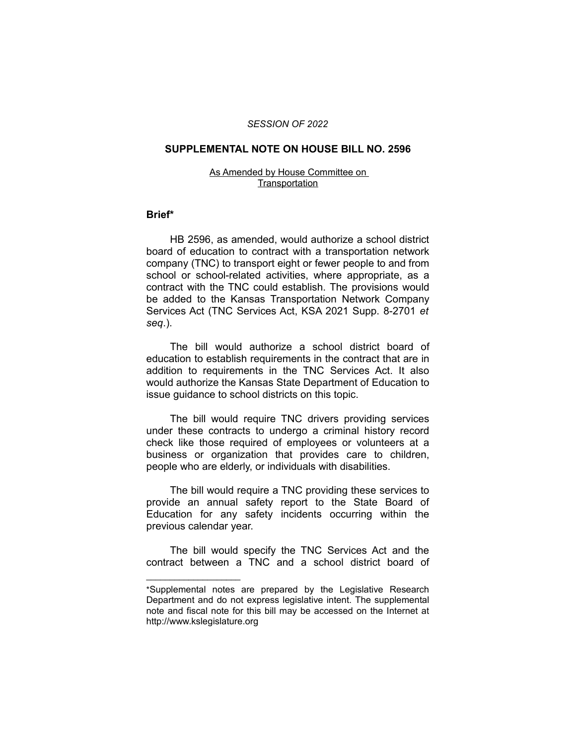## *SESSION OF 2022*

#### **SUPPLEMENTAL NOTE ON HOUSE BILL NO. 2596**

### As Amended by House Committee on **Transportation**

## **Brief\***

HB 2596, as amended, would authorize a school district board of education to contract with a transportation network company (TNC) to transport eight or fewer people to and from school or school-related activities, where appropriate, as a contract with the TNC could establish. The provisions would be added to the Kansas Transportation Network Company Services Act (TNC Services Act, KSA 2021 Supp. 8-2701 *et seq*.).

The bill would authorize a school district board of education to establish requirements in the contract that are in addition to requirements in the TNC Services Act. It also would authorize the Kansas State Department of Education to issue guidance to school districts on this topic.

The bill would require TNC drivers providing services under these contracts to undergo a criminal history record check like those required of employees or volunteers at a business or organization that provides care to children, people who are elderly, or individuals with disabilities.

The bill would require a TNC providing these services to provide an annual safety report to the State Board of Education for any safety incidents occurring within the previous calendar year.

The bill would specify the TNC Services Act and the contract between a TNC and a school district board of

 $\overline{\phantom{a}}$  , where  $\overline{\phantom{a}}$ 

<sup>\*</sup>Supplemental notes are prepared by the Legislative Research Department and do not express legislative intent. The supplemental note and fiscal note for this bill may be accessed on the Internet at http://www.kslegislature.org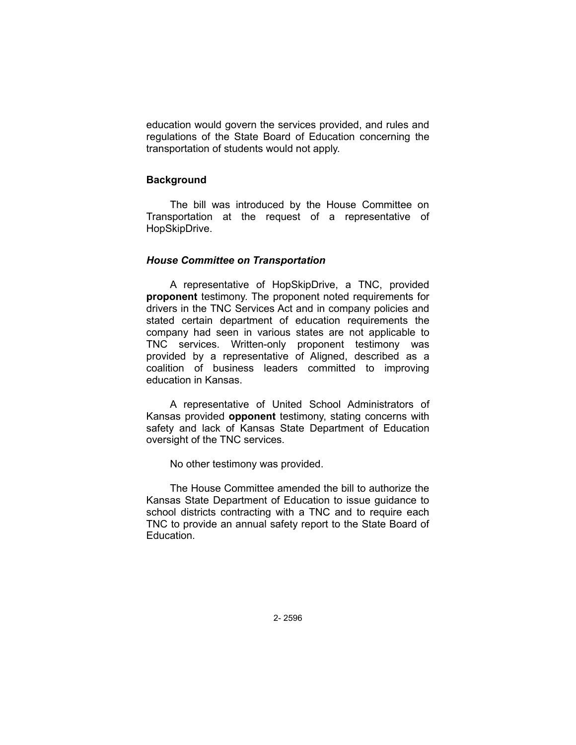education would govern the services provided, and rules and regulations of the State Board of Education concerning the transportation of students would not apply.

# **Background**

The bill was introduced by the House Committee on Transportation at the request of a representative of HopSkipDrive.

# *House Committee on Transportation*

A representative of HopSkipDrive, a TNC, provided **proponent** testimony. The proponent noted requirements for drivers in the TNC Services Act and in company policies and stated certain department of education requirements the company had seen in various states are not applicable to TNC services. Written-only proponent testimony was provided by a representative of Aligned, described as a coalition of business leaders committed to improving education in Kansas.

A representative of United School Administrators of Kansas provided **opponent** testimony, stating concerns with safety and lack of Kansas State Department of Education oversight of the TNC services.

No other testimony was provided.

The House Committee amended the bill to authorize the Kansas State Department of Education to issue guidance to school districts contracting with a TNC and to require each TNC to provide an annual safety report to the State Board of Education.